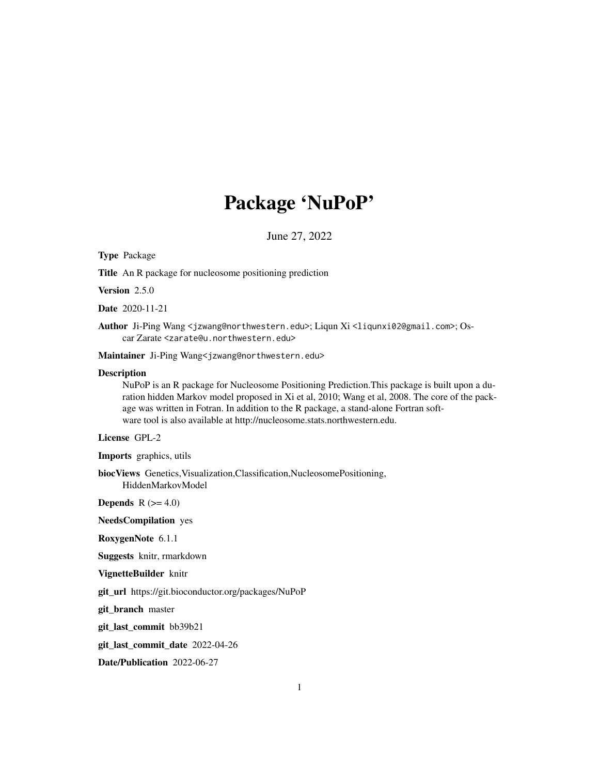## Package 'NuPoP'

June 27, 2022

Type Package

Title An R package for nucleosome positioning prediction

Version 2.5.0

Date 2020-11-21

Author Ji-Ping Wang <jzwang@northwestern.edu>; Liqun Xi <liqunxi02@gmail.com>; Oscar Zarate <zarate@u.northwestern.edu>

Maintainer Ji-Ping Wang<jzwang@northwestern.edu>

#### **Description**

NuPoP is an R package for Nucleosome Positioning Prediction.This package is built upon a duration hidden Markov model proposed in Xi et al, 2010; Wang et al, 2008. The core of the package was written in Fotran. In addition to the R package, a stand-alone Fortran software tool is also available at http://nucleosome.stats.northwestern.edu.

#### License GPL-2

Imports graphics, utils

biocViews Genetics,Visualization,Classification,NucleosomePositioning, HiddenMarkovModel

**Depends**  $R$  ( $>= 4.0$ )

NeedsCompilation yes

RoxygenNote 6.1.1

Suggests knitr, rmarkdown

VignetteBuilder knitr

git\_url https://git.bioconductor.org/packages/NuPoP

git\_branch master

git\_last\_commit bb39b21

git\_last\_commit\_date 2022-04-26

Date/Publication 2022-06-27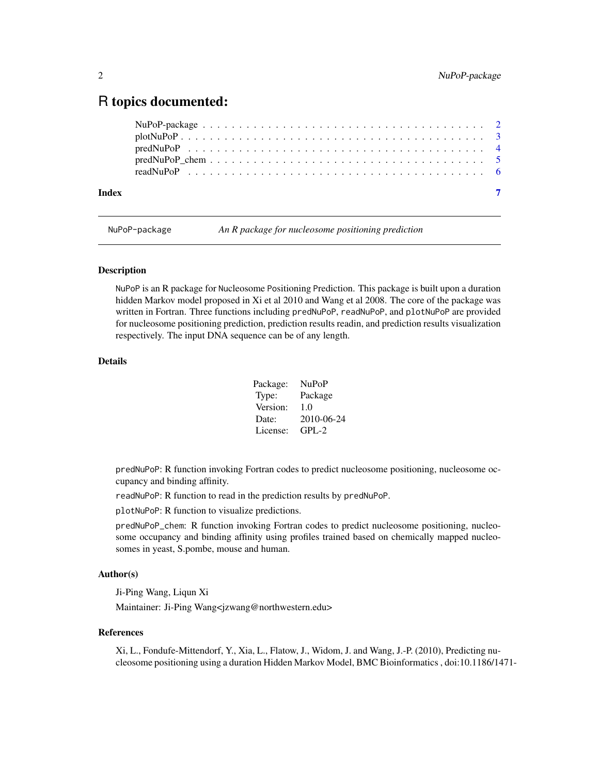### <span id="page-1-0"></span>R topics documented:

| Index |  |  |  |  |  |  |  |  |  |  |  |  |  |  |  |  |  |
|-------|--|--|--|--|--|--|--|--|--|--|--|--|--|--|--|--|--|
|       |  |  |  |  |  |  |  |  |  |  |  |  |  |  |  |  |  |

NuPoP-package *An R package for nucleosome positioning prediction*

#### Description

NuPoP is an R package for Nucleosome Positioning Prediction. This package is built upon a duration hidden Markov model proposed in Xi et al 2010 and Wang et al 2008. The core of the package was written in Fortran. Three functions including predNuPoP, readNuPoP, and plotNuPoP are provided for nucleosome positioning prediction, prediction results readin, and prediction results visualization respectively. The input DNA sequence can be of any length.

#### Details

| Package: | <b>NuPoP</b> |
|----------|--------------|
| Type:    | Package      |
| Version: | 1.0          |
| Date:    | 2010-06-24   |
| License: | $GPI - 2$    |

predNuPoP: R function invoking Fortran codes to predict nucleosome positioning, nucleosome occupancy and binding affinity.

readNuPoP: R function to read in the prediction results by predNuPoP.

plotNuPoP: R function to visualize predictions.

predNuPoP\_chem: R function invoking Fortran codes to predict nucleosome positioning, nucleosome occupancy and binding affinity using profiles trained based on chemically mapped nucleosomes in yeast, S.pombe, mouse and human.

#### Author(s)

Ji-Ping Wang, Liqun Xi

Maintainer: Ji-Ping Wang<jzwang@northwestern.edu>

#### References

Xi, L., Fondufe-Mittendorf, Y., Xia, L., Flatow, J., Widom, J. and Wang, J.-P. (2010), Predicting nucleosome positioning using a duration Hidden Markov Model, BMC Bioinformatics , doi:10.1186/1471-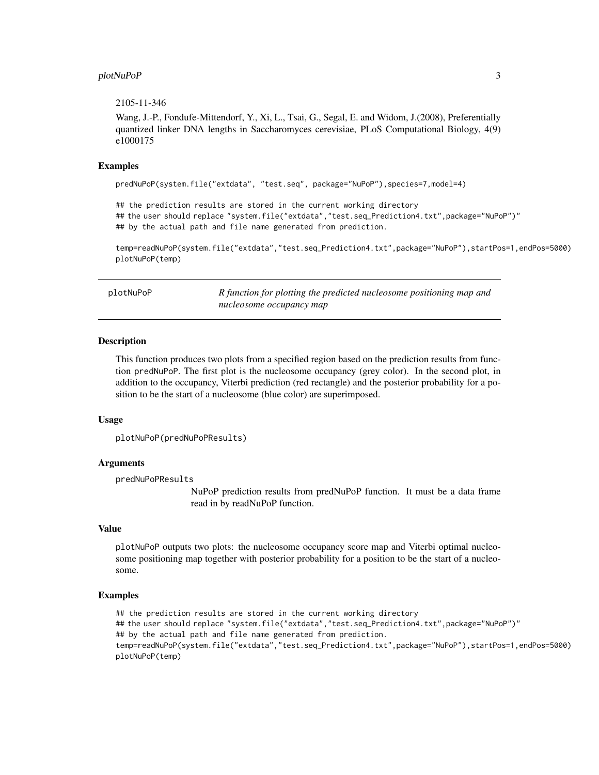#### <span id="page-2-0"></span>plotNuPoP 3

#### 2105-11-346

Wang, J.-P., Fondufe-Mittendorf, Y., Xi, L., Tsai, G., Segal, E. and Widom, J.(2008), Preferentially quantized linker DNA lengths in Saccharomyces cerevisiae, PLoS Computational Biology, 4(9) e1000175

#### Examples

predNuPoP(system.file("extdata", "test.seq", package="NuPoP"),species=7,model=4)

## the prediction results are stored in the current working directory ## the user should replace "system.file("extdata","test.seq\_Prediction4.txt",package="NuPoP")" ## by the actual path and file name generated from prediction.

temp=readNuPoP(system.file("extdata","test.seq\_Prediction4.txt",package="NuPoP"),startPos=1,endPos=5000) plotNuPoP(temp)

plotNuPoP *R function for plotting the predicted nucleosome positioning map and nucleosome occupancy map*

#### **Description**

This function produces two plots from a specified region based on the prediction results from function predNuPoP. The first plot is the nucleosome occupancy (grey color). In the second plot, in addition to the occupancy, Viterbi prediction (red rectangle) and the posterior probability for a position to be the start of a nucleosome (blue color) are superimposed.

#### Usage

```
plotNuPoP(predNuPoPResults)
```
#### Arguments

predNuPoPResults

NuPoP prediction results from predNuPoP function. It must be a data frame read in by readNuPoP function.

#### Value

plotNuPoP outputs two plots: the nucleosome occupancy score map and Viterbi optimal nucleosome positioning map together with posterior probability for a position to be the start of a nucleosome.

#### Examples

## the prediction results are stored in the current working directory ## the user should replace "system.file("extdata","test.seq\_Prediction4.txt",package="NuPoP")" ## by the actual path and file name generated from prediction. temp=readNuPoP(system.file("extdata","test.seq\_Prediction4.txt",package="NuPoP"),startPos=1,endPos=5000) plotNuPoP(temp)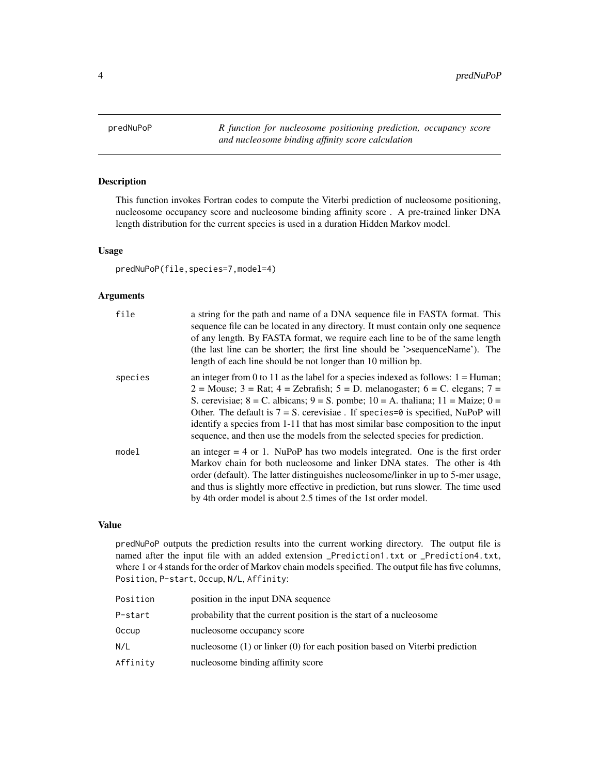<span id="page-3-0"></span>predNuPoP *R function for nucleosome positioning prediction, occupancy score and nucleosome binding affinity score calculation*

#### Description

This function invokes Fortran codes to compute the Viterbi prediction of nucleosome positioning, nucleosome occupancy score and nucleosome binding affinity score . A pre-trained linker DNA length distribution for the current species is used in a duration Hidden Markov model.

#### Usage

predNuPoP(file,species=7,model=4)

#### Arguments

| file    | a string for the path and name of a DNA sequence file in FASTA format. This<br>sequence file can be located in any directory. It must contain only one sequence<br>of any length. By FASTA format, we require each line to be of the same length<br>(the last line can be shorter; the first line should be '>sequenceName'). The<br>length of each line should be not longer than 10 million bp.                                                                                                                                                                                        |
|---------|------------------------------------------------------------------------------------------------------------------------------------------------------------------------------------------------------------------------------------------------------------------------------------------------------------------------------------------------------------------------------------------------------------------------------------------------------------------------------------------------------------------------------------------------------------------------------------------|
| species | an integer from 0 to 11 as the label for a species indexed as follows: $1 =$ Human;<br>$2 = \text{Mouse}$ ; $3 = \text{Rat}$ ; $4 = \text{Zebrafish}$ ; $5 = \text{D}$ . melanogaster; $6 = \text{C}$ . elegans; $7 = \text{C}$<br>S. cerevisiae; $8 = C$ . albicans; $9 = S$ . pombe; $10 = A$ . thaliana; $11 = Maize$ ; $0 =$<br>Other. The default is $7 = S$ . cerevisiae. If species=0 is specified, NuPoP will<br>identify a species from 1-11 that has most similar base composition to the input<br>sequence, and then use the models from the selected species for prediction. |
| model   | an integer $= 4$ or 1. NuPoP has two models integrated. One is the first order<br>Markov chain for both nucleosome and linker DNA states. The other is 4th<br>order (default). The latter distinguishes nucleosome/linker in up to 5-mer usage,<br>and thus is slightly more effective in prediction, but runs slower. The time used<br>by 4th order model is about 2.5 times of the 1st order model.                                                                                                                                                                                    |

#### Value

predNuPoP outputs the prediction results into the current working directory. The output file is named after the input file with an added extension \_Prediction1.txt or \_Prediction4.txt, where 1 or 4 stands for the order of Markov chain models specified. The output file has five columns, Position, P-start, Occup, N/L, Affinity:

| Position | position in the input DNA sequence                                             |
|----------|--------------------------------------------------------------------------------|
| P-start  | probability that the current position is the start of a nucleosome             |
| 0ccup    | nucleosome occupancy score                                                     |
| N/L      | nucleosome $(1)$ or linker $(0)$ for each position based on Viterbi prediction |
| Affinity | nucleosome binding affinity score                                              |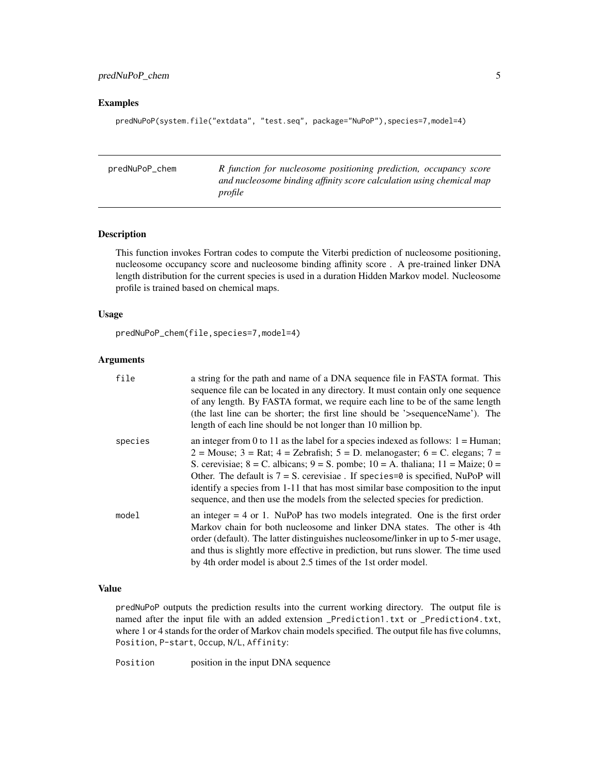#### <span id="page-4-0"></span>Examples

predNuPoP(system.file("extdata", "test.seq", package="NuPoP"),species=7,model=4)

| predNuPoP_chem | R function for nucleosome positioning prediction, occupancy score    |
|----------------|----------------------------------------------------------------------|
|                | and nucleosome binding affinity score calculation using chemical map |
|                | profile                                                              |

#### Description

This function invokes Fortran codes to compute the Viterbi prediction of nucleosome positioning, nucleosome occupancy score and nucleosome binding affinity score . A pre-trained linker DNA length distribution for the current species is used in a duration Hidden Markov model. Nucleosome profile is trained based on chemical maps.

#### Usage

```
predNuPoP_chem(file,species=7,model=4)
```
#### Arguments

| file    | a string for the path and name of a DNA sequence file in FASTA format. This<br>sequence file can be located in any directory. It must contain only one sequence<br>of any length. By FASTA format, we require each line to be of the same length<br>(the last line can be shorter; the first line should be '>sequenceName'). The<br>length of each line should be not longer than 10 million bp.                                                                                                                                   |
|---------|-------------------------------------------------------------------------------------------------------------------------------------------------------------------------------------------------------------------------------------------------------------------------------------------------------------------------------------------------------------------------------------------------------------------------------------------------------------------------------------------------------------------------------------|
| species | an integer from 0 to 11 as the label for a species indexed as follows: $1 =$ Human;<br>2 = Mouse; 3 = Rat; 4 = Zebrafish; 5 = D. melanogaster; 6 = C. elegans; 7 =<br>S. cerevisiae; $8 = C$ . albicans; $9 = S$ . pombe; $10 = A$ . thaliana; $11 = Maize$ ; $0 =$<br>Other. The default is $7 = S$ . cerevisiae. If species= $\theta$ is specified, NuPoP will<br>identify a species from 1-11 that has most similar base composition to the input<br>sequence, and then use the models from the selected species for prediction. |
| model   | an integer $= 4$ or 1. NuPoP has two models integrated. One is the first order<br>Markov chain for both nucleosome and linker DNA states. The other is 4th<br>order (default). The latter distinguishes nucleosome/linker in up to 5-mer usage,<br>and thus is slightly more effective in prediction, but runs slower. The time used<br>by 4th order model is about 2.5 times of the 1st order model.                                                                                                                               |

#### Value

predNuPoP outputs the prediction results into the current working directory. The output file is named after the input file with an added extension \_Prediction1.txt or \_Prediction4.txt, where 1 or 4 stands for the order of Markov chain models specified. The output file has five columns, Position, P-start, Occup, N/L, Affinity:

Position position in the input DNA sequence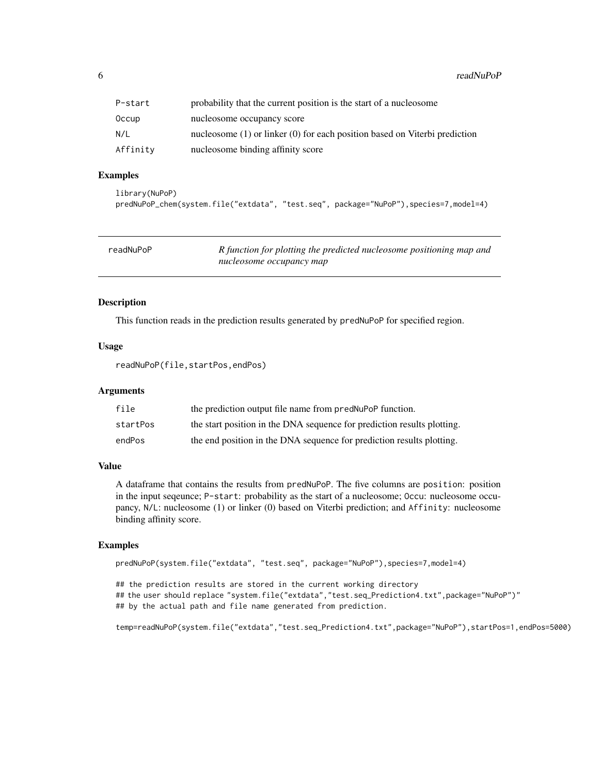<span id="page-5-0"></span> $6$  readNuPoP

| P-start  | probability that the current position is the start of a nucleosome             |
|----------|--------------------------------------------------------------------------------|
| 0ccup    | nucleosome occupancy score                                                     |
| N/L      | nucleosome $(1)$ or linker $(0)$ for each position based on Viterbi prediction |
| Affinity | nucleosome binding affinity score                                              |

#### Examples

```
library(NuPoP)
predNuPoP_chem(system.file("extdata", "test.seq", package="NuPoP"),species=7,model=4)
```

| readNuPoP | R function for plotting the predicted nucleosome positioning map and |
|-----------|----------------------------------------------------------------------|
|           | nucleosome occupancy map                                             |

#### Description

This function reads in the prediction results generated by predNuPoP for specified region.

#### Usage

readNuPoP(file,startPos,endPos)

#### Arguments

| file     | the prediction output file name from predNuPoP function.                |
|----------|-------------------------------------------------------------------------|
| startPos | the start position in the DNA sequence for prediction results plotting. |
| endPos   | the end position in the DNA sequence for prediction results plotting.   |

#### Value

A dataframe that contains the results from predNuPoP. The five columns are position: position in the input seqeunce; P-start: probability as the start of a nucleosome; Occu: nucleosome occupancy, N/L: nucleosome (1) or linker (0) based on Viterbi prediction; and Affinity: nucleosome binding affinity score.

#### Examples

```
predNuPoP(system.file("extdata", "test.seq", package="NuPoP"),species=7,model=4)
```
## the prediction results are stored in the current working directory ## the user should replace "system.file("extdata","test.seq\_Prediction4.txt",package="NuPoP")" ## by the actual path and file name generated from prediction.

temp=readNuPoP(system.file("extdata","test.seq\_Prediction4.txt",package="NuPoP"),startPos=1,endPos=5000)